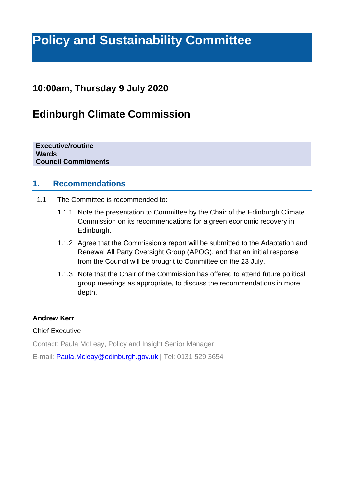# **Policy and Sustainability Committee**

### **10:00am, Thursday 9 July 2020**

## **Edinburgh Climate Commission**

**Executive/routine Wards Council Commitments**

#### **1. Recommendations**

- 1.1 The Committee is recommended to:
	- 1.1.1 Note the presentation to Committee by the Chair of the Edinburgh Climate Commission on its recommendations for a green economic recovery in Edinburgh.
	- 1.1.2 Agree that the Commission's report will be submitted to the Adaptation and Renewal All Party Oversight Group (APOG), and that an initial response from the Council will be brought to Committee on the 23 July.
	- 1.1.3 Note that the Chair of the Commission has offered to attend future political group meetings as appropriate, to discuss the recommendations in more depth.

#### **Andrew Kerr**

#### Chief Executive

Contact: Paula McLeay, Policy and Insight Senior Manager

E-mail: **Paula.Mcleay@edinburgh.gov.uk** | Tel: 0131 529 3654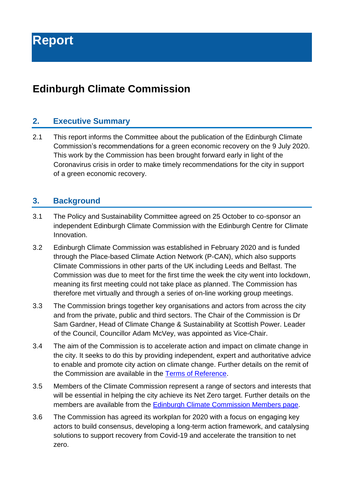# **Edinburgh Climate Commission**

#### **2. Executive Summary**

2.1 This report informs the Committee about the publication of the Edinburgh Climate Commission's recommendations for a green economic recovery on the 9 July 2020. This work by the Commission has been brought forward early in light of the Coronavirus crisis in order to make timely recommendations for the city in support of a green economic recovery.

#### **3. Background**

- 3.1 The Policy and Sustainability Committee agreed on 25 October to co-sponsor an independent Edinburgh Climate Commission with the Edinburgh Centre for Climate Innovation.
- 3.2 Edinburgh Climate Commission was established in February 2020 and is funded through the Place-based Climate Action Network (P-CAN), which also supports Climate Commissions in other parts of the UK including Leeds and Belfast. The Commission was due to meet for the first time the week the city went into lockdown, meaning its first meeting could not take place as planned. The Commission has therefore met virtually and through a series of on-line working group meetings.
- 3.3 The Commission brings together key organisations and actors from across the city and from the private, public and third sectors. The Chair of the Commission is Dr Sam Gardner, Head of Climate Change & Sustainability at Scottish Power. Leader of the Council, Councillor Adam McVey, was appointed as Vice-Chair.
- 3.4 The aim of the Commission is to accelerate action and impact on climate change in the city. It seeks to do this by providing independent, expert and authoritative advice to enable and promote city action on climate change. Further details on the remit of the Commission are available in the [Terms of Reference.](https://www.edinburghclimate.org.uk/sites/default/files/ECC%20Terms%20of%20Reference_.pdf)
- 3.5 Members of the Climate Commission represent a range of sectors and interests that will be essential in helping the city achieve its Net Zero target. Further details on the members are available from the [Edinburgh Climate Commission Members page.](https://www.edinburghclimate.org.uk/commission-members)
- 3.6 The Commission has agreed its workplan for 2020 with a focus on engaging key actors to build consensus, developing a long-term action framework, and catalysing solutions to support recovery from Covid-19 and accelerate the transition to net zero.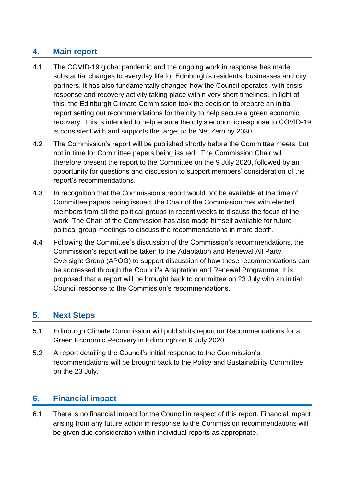#### **4. Main report**

- 4.1 The COVID-19 global pandemic and the ongoing work in response has made substantial changes to everyday life for Edinburgh's residents, businesses and city partners. It has also fundamentally changed how the Council operates, with crisis response and recovery activity taking place within very short timelines. In light of this, the Edinburgh Climate Commission took the decision to prepare an initial report setting out recommendations for the city to help secure a green economic recovery. This is intended to help ensure the city's economic response to COVID-19 is consistent with and supports the target to be Net Zero by 2030.
- 4.2 The Commission's report will be published shortly before the Committee meets, but not in time for Committee papers being issued. The Commission Chair will therefore present the report to the Committee on the 9 July 2020, followed by an opportunity for questions and discussion to support members' consideration of the report's recommendations.
- 4.3 In recognition that the Commission's report would not be available at the time of Committee papers being issued, the Chair of the Commission met with elected members from all the political groups in recent weeks to discuss the focus of the work. The Chair of the Commission has also made himself available for future political group meetings to discuss the recommendations in more depth.
- 4.4 Following the Committee's discussion of the Commission's recommendations, the Commission's report will be taken to the Adaptation and Renewal All Party Oversight Group (APOG) to support discussion of how these recommendations can be addressed through the Council's Adaptation and Renewal Programme. It is proposed that a report will be brought back to committee on 23 July with an initial Council response to the Commission's recommendations.

### **5. Next Steps**

- 5.1 Edinburgh Climate Commission will publish its report on Recommendations for a Green Economic Recovery in Edinburgh on 9 July 2020.
- 5.2 A report detailing the Council's initial response to the Commission's recommendations will be brought back to the Policy and Sustainability Committee on the 23 July.

### **6. Financial impact**

6.1 There is no financial impact for the Council in respect of this report. Financial impact arising from any future action in response to the Commission recommendations will be given due consideration within individual reports as appropriate.